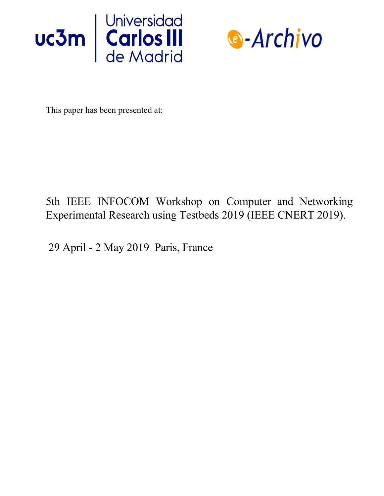



This paper has been presented at:

# 5th IEEE INFOCOM Workshop on Computer and Networking Experimental Research using Testbeds 2019 (IEEE CNERT 2019).

29 April - 2 May 2019 Paris, France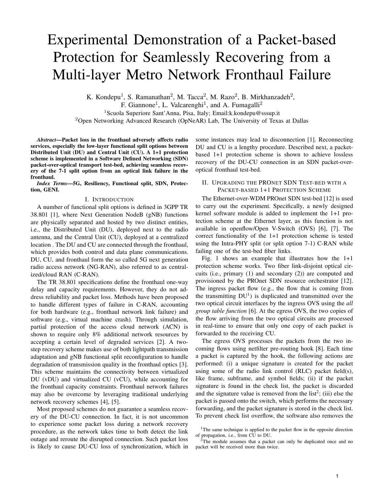# Experimental Demonstration of a Packet-based Protection for Seamlessly Recovering from a Multi-layer Metro Network Fronthaul Failure

K. Kondepu<sup>1</sup>, S. Ramanathan<sup>2</sup>, M. Tacca<sup>2</sup>, M. Razo<sup>2</sup>, B. Mirkhanzadeh<sup>2</sup>,

F. Giannone<sup>1</sup>, L. Valcarenghi<sup>1</sup>, and A. Fumagalli<sup>2</sup>

<sup>1</sup>Scuola Superiore Sant'Anna, Pisa, Italy; Email:k.kondepu@sssup.it

<sup>2</sup>Open Networking Advanced Research (OpNeAR) Lab, The University of Texas at Dallas

*Abstract***—Packet loss in the fronthaul adversely affects radio services, especially the low-layer functional split options between Distributed Unit (DU) and Central Unit (CU). A 1+1 protection scheme is implemented in a Software Defined Networking (SDN) packet-over-optical transport test-bed, achieving seamless recovery of the 7-1 split option from an optical link failure in the fronthaul.**

*Index Terms***—5G, Resiliency, Functional split, SDN, Protection, GENI.**

#### I. INTRODUCTION

A number of functional split options is defined in 3GPP TR 38.801 [1], where Next Generation NodeB (gNB) functions are physically separated and hosted by two distinct entities, i.e., the Distributed Unit (DU), deployed next to the radio antenna, and the Central Unit (CU), deployed at a centralized location . The DU and CU are connected through the fronthaul, which provides both control and data plane communications. DU, CU, and fronthaul form the so called 5G next generation radio access network (NG-RAN), also referred to as centralized/cloud RAN (C-RAN).

The TR 38.801 specifications define the fronthaul one-way delay and capacity requirements. However, they do not address reliability and packet loss. Methods have been proposed to handle different types of failure in C-RAN, accounting for both hardware (e.g., fronthaul network link failure) and software (e.g., virtual machine crash). Through simulation, partial protection of the access cloud network (ACN) is shown to require only 8% additional network resources by accepting a certain level of degraded services [2]. A twostep recovery scheme makes use of both lightpath transmission adaptation and gNB functional split reconfiguration to handle degradation of transmission quality in the fronthaul optics [3]. This scheme maintains the connectivity between virtualized DU (vDU) and virtualized CU (vCU), while accounting for the fronthaul capacity constraints. Fronthaul network failures may also be overcome by leveraging traditional underlying network recovery schemes [4], [5].

Most proposed schemes do not guarantee a seamless recovery of the DU-CU connection. In fact, it is not uncommon to experience some packet loss during a network recovery procedure, as the network takes time to both detect the link outage and reroute the disrupted connection. Such packet loss is likely to cause DU-CU loss of synchronization, which in some instances may lead to disconnection [1]. Reconnecting DU and CU is a lengthy procedure. Described next, a packetbased 1+1 protection scheme is shown to achieve lossless recovery of the DU-CU connection in an SDN packet-overoptical fronthaul test-bed.

# II. UPGRADING THE PRONET SDN TEST-BED WITH A PACKET-BASED 1+1 PROTECTION SCHEME

The Ethernet-over-WDM PROnet SDN test-bed [12] is used to carry out the experiment. Specifically, a newly designed kernel software module is added to implement the 1+1 protection scheme at the Ethernet layer, as this function is not available in openflow/Open V-Switch (OVS) [6], [7]. The correct functionality of the 1+1 protection scheme is tested using the Intra-PHY split (or split option 7-1) C-RAN while failing one of the test-bed fiber links.

Fig. 1 shows an example that illustrates how the 1+1 protection scheme works. Two fiber link-disjoint optical circuits (i.e., primary (1) and secondary (2)) are computed and provisioned by the PROnet SDN resource orchestrator [12]. The ingress packet flow (e.g., the flow that is coming from the transmitting  $DU<sup>1</sup>$ ) is duplicated and transmitted over the two optical circuit interfaces by the ingress OVS using the *all group table function* [6]. At the egress OVS, the two copies of the flow arriving from the two optical circuits are processed in real-time to ensure that only one copy of each packet is forwarded to the receiving CU.

The egress OVS processes the packets from the two incoming flows using netfilter pre-routing hook [8]. Each time a packet is captured by the hook, the following actions are performed: (i) a unique signature is created for the packet using some of the radio link control (RLC) packet field(s), like frame, subframe, and symbol fields; (ii) if the packet signature is found in the check list, the packet is discarded and the signature value is removed from the list<sup>2</sup>; (iii) else the packet is passed onto the switch, which performs the necessary forwarding, and the packet signature is stored in the check list. To prevent check list overflow, the software also removes the

<sup>&</sup>lt;sup>1</sup>The same technique is applied to the packet flow in the opposite direction of propagation, i.e., from CU to DU.

<sup>&</sup>lt;sup>2</sup>The module assumes that a packet can only be duplicated once and no packet will be received more than twice.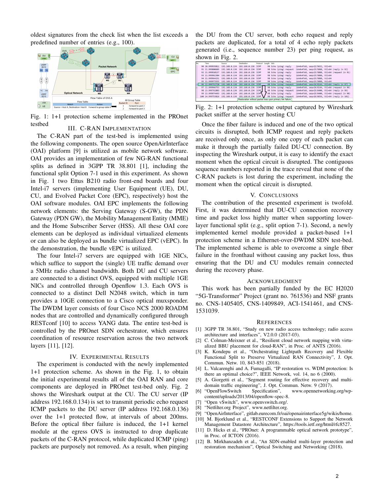oldest signatures from the check list when the list exceeds a predefined number of entries (e.g., 100).



Fig. 1: 1+1 protection scheme implemented in the PROnet testbed

## III. C-RAN IMPLEMENTATION

The C-RAN part of the test-bed is implemented using the following components. The open source OpenAirInterface (OAI) platform [9] is utilized as mobile network software. OAI provides an implementation of few NG-RAN functional splits as defined in 3GPP TR 38.801 [1], including the functional split Option 7-1 used in this experiment. As shown in Fig. 1 two Ettus B210 radio front-end boards and four Intel-i7 servers (implementing User Equipment (UE), DU, CU, and Evolved Packet Core (EPC), respectively) host the OAI software modules. OAI EPC implements the following network elements: the Serving Gateway (S-GW), the PDN Gateway (PDN GW), the Mobility Management Entity (MME) and the Home Subscriber Server (HSS). All these OAI core elements can be deployed as individual virtualized elements or can also be deployed as bundle virtualized EPC (vEPC). In the demonstration, the bundle vEPC is utilized.

The four Intel-i7 servers are equipped with 1GE NICs, which suffice to support the (single) UE traffic demand over a 5MHz radio channel bandwidth. Both DU and CU servers are connected to a distinct OVS, equipped with multiple 1GE NICs and controlled through Openflow 1.3. Each OVS is connected to a distinct Dell N2048 switch, which in turn provides a 10GE connection to a Cisco optical muxsponder. The DWDM layer consists of four Cisco NCS 2000 ROADM nodes that are controlled and dynamically configured through RESTconf [10] to access YANG data. The entire test-bed is controlled by the PROnet SDN orchestrator, which ensures coordination of resource reservation across the two network layers [11], [12].

#### IV. EXPERIMENTAL RESULTS

The experiment is conducted with the newly implemented 1+1 protection scheme. As shown in the Fig. 1, to obtain the initial experimental results all of the OAI RAN and core components are deployed in PROnet test-bed only. Fig. 2 shows the Wireshark output at the CU. The CU server (IP address 192.168.0.134) is set to transmit periodic echo request ICMP packets to the DU server (IP address 192.168.0.136) over the 1+1 protected flow, at intervals of about 200ms. Before the optical fiber failure is induced, the 1+1 kernel module at the egress OVS is instructed to drop duplicate packets of the C-RAN protocol, while duplicated ICMP (ping) packets are purposely not removed. As a result, when pinging

the DU from the CU server, both echo request and reply packets are duplicated, for a total of 4 echo reply packets generated (i.e., sequence number 23) per ping request, as shown in Fig. 2.

|  | No. | <b>Time</b>      | Source        | Destination                                               | Protocol Length Info |  |                      |                        |                                |                                                |
|--|-----|------------------|---------------|-----------------------------------------------------------|----------------------|--|----------------------|------------------------|--------------------------------|------------------------------------------------|
|  |     | 98 20.999935011  | 192.168.0.134 | 192.168.0.136 ICMP                                        |                      |  | 98 Echo (ping) reply |                        | id=0x47a9, seq=22/5632, ttl=64 |                                                |
|  |     | 91 21.999800605  |               | 192.168.0.136 192.168.0.134 ICMP                          |                      |  |                      | 98 Echo (ping) request |                                | id=0x47a9, seq=23/5888, ttl=64 (reply in 92)   |
|  |     | 92 21.999918137  | 192.168.0.134 | 192.168.0.136 ICMP                                        |                      |  | 98 Echo (ping) reply |                        |                                | id=0x47a9. seg=23/5888. ttl=64 (request in 91) |
|  |     | 93 21.999962384  | 192.168.0.134 | 192.168.8.136 TCMP                                        |                      |  | 98 Echo (ping) reply |                        | id=0x47a9. seg=23/5888. ttl=64 |                                                |
|  |     | 94 21.999964231  |               | 192.168.0.134 192.168.0.136 TCMP                          |                      |  | 98 Echo (ping) reply |                        | id=0x47a9, seg=23/5888, ttl=64 |                                                |
|  |     | 95 21.999973555  |               | 192.168.0.134 192.168.0.136 ICMP                          |                      |  | 98 Echo (ping) reply |                        | id=0x47a9, seq=23/5888, ttl=64 |                                                |
|  |     | 96 22.999752728  | 192.168.0.136 | 192.168.8.134 ICMP                                        |                      |  |                      | 98 Echo (ping) request |                                | id=0x47a9, seq=24/6144, ttl=64 (reply in 97)   |
|  |     | 97 22.999966753  |               | 192.168.0.134 192.168.0.136 ICMP                          |                      |  | 98 Echo (ping) reply |                        |                                | id=0x47a9, seg=24/6144, ttl=64 (request in 96) |
|  |     | 98 23.999761803  |               | 192.168.0.136 192.168.0.134 ICMP                          |                      |  |                      | 98 Echo (ping) request |                                | id=0x47a9, seq=25/6400, ttl=64 (reply in 99)   |
|  |     | 99 23.999974493  | 192.168.0.134 | 192.168.0.136 ICMP\                                       |                      |  | 98 Echo (ping) reply |                        |                                | id=0x47a9, seq=25/6400, ttl=64 (request in 98) |
|  |     | 100 24.999753816 |               | 192.168.0.136 192.168.0.134 ICMP                          |                      |  |                      | 98 Echo (ping) request |                                | id=0x47a9, seg=26/6656, ttl=64 (reply in 101)  |
|  |     |                  |               | Restoration without packet loss upon primary link failure |                      |  |                      |                        |                                |                                                |

Fig. 2: 1+1 protection scheme output captured by Wireshark packet sniffer at the server hosting CU

Once the fiber failure is induced and one of the two optical circuits is disrupted, both ICMP request and reply packets are received only once, as only one copy of each packet can make it through the partially failed DU-CU connection. By inspecting the Wireshark output, it is easy to identify the exact moment when the optical circuit is disrupted. The contiguous sequence numbers reported in the trace reveal that none of the C-RAN packets is lost during the experiment, including the moment when the optical circuit is disrupted.

## V. CONCLUSIONS

The contribution of the presented experiment is twofold. First, it was determined that DU-CU connection recovery time and packet loss highly matter when supporting lowerlayer functional split (e.g., split option 7-1). Second, a newly implemented kernel module provided a packet-based 1+1 protection scheme in a Ethernet-over-DWDM SDN test-bed. The implemented scheme is able to overcome a single fiber failure in the fronthaul without causing any packet loss, thus ensuring that the DU and CU modules remain connected during the recovery phase.

#### ACKNOWLEDGMENT

This work has been partially funded by the EC H2020 "5G-Transformer" Project (grant no. 761536) and NSF grants no. CNS-1405405, CNS-1409849, ACI-1541461, and CNS-1531039.

#### **REFERENCES**

- [1] 3GPP TR 38.801, "Study on new radio access technology; radio access architecture and interfaces", V2.0.0 (2017-03).
- [2] C. Colman-Meixner et al., "Resilient cloud network mapping with virtualized BBU placement for cloud-RAN", in Proc. of ANTS (2016).
- [3] K. Kondepu et al., "Orchestrating Lightpath Recovery and Flexible Functional Split to Preserve Virtualized RAN Connectivity", J. Opt. Commun. Netw. 10, 843-851 (2018).
- [4] L. Valcarenghi and A. Fumagalli, "IP restoration vs. WDM protection: Is there an optimal choice?", IEEE Network, vol. 14, no 6 (2000).
- [5] A. Giorgetti et al., "Segment routing for effective recovery and multidomain traffic engineering", J. Opt. Commun. Netw. 9 (2017).
- [6] "OpenFlowSwitch Specification", www.opennetworking.org/wpcontent/uploads/2013/04/openflow-spec-8.
- [7] "Open vSwitch", www.openvswitch.org/.
- [8] "Netfilter.org Project", www.netfilter.org.
- [9] "OpenAirInterface", gitlab.eurecom.fr/oai/openairinterface5g/wikis/home.
- [10] M. Bjorklund et al., "RESTCONF Extensions to Support the Network Management Datastore Architecture", https://tools.ietf.org/html/rfc8527.
- [11] D. Hicks et al., "PROnet: A programmable optical network prototype", in Proc. of ICTON (2016).
- [12] B. Mirkhanzadeh et al., "An SDN-enabled multi-layer protection and restoration mechanism", Optical Switching and Networking (2018).